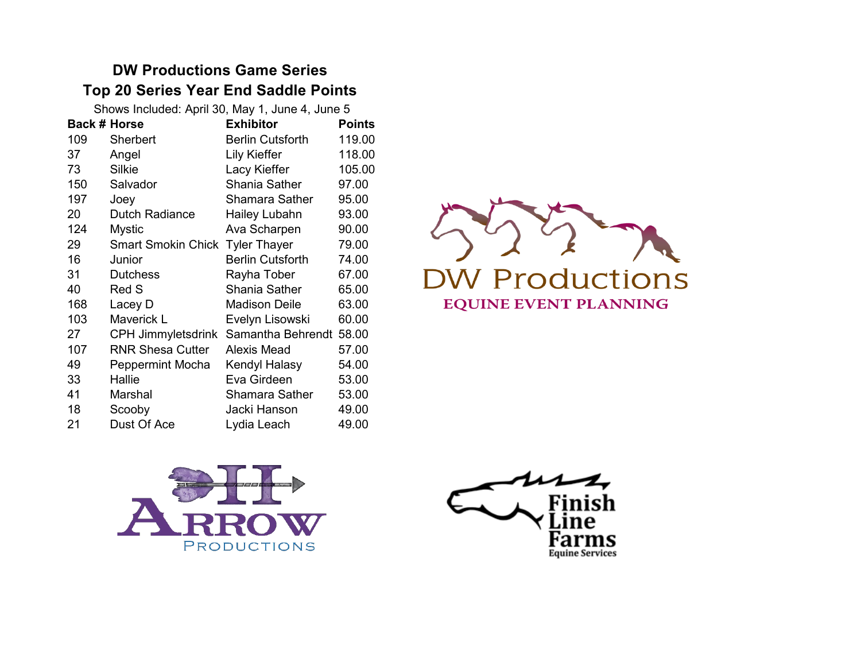# **DW Productions Game Series Top 20 Series Year End Saddle Points**

| Shows Included: April 30, May 1, June 4, June 5 |                           |                         |               |
|-------------------------------------------------|---------------------------|-------------------------|---------------|
| <b>Back # Horse</b>                             |                           | <b>Exhibitor</b>        | <b>Points</b> |
| 109                                             | <b>Sherbert</b>           | <b>Berlin Cutsforth</b> | 119.00        |
| 37                                              | Angel                     | Lily Kieffer            | 118.00        |
| 73                                              | Silkie                    | Lacy Kieffer            | 105.00        |
| 150                                             | Salvador                  | Shania Sather           | 97.00         |
| 197                                             | Joey                      | <b>Shamara Sather</b>   | 95.00         |
| 20                                              | <b>Dutch Radiance</b>     | Hailey Lubahn           | 93.00         |
| 124                                             | <b>Mystic</b>             | Ava Scharpen            | 90.00         |
| 29                                              | <b>Smart Smokin Chick</b> | <b>Tyler Thayer</b>     | 79.00         |
| 16                                              | Junior                    | <b>Berlin Cutsforth</b> | 74.00         |
| 31                                              | <b>Dutchess</b>           | Rayha Tober             | 67.00         |
| 40                                              | Red S                     | Shania Sather           | 65.00         |
| 168                                             | Lacey D                   | <b>Madison Deile</b>    | 63.00         |
| 103                                             | Maverick L                | Evelyn Lisowski         | 60.00         |
| 27                                              | <b>CPH Jimmyletsdrink</b> | Samantha Behrendt       | 58.00         |
| 107                                             | <b>RNR Shesa Cutter</b>   | Alexis Mead             | 57.00         |
| 49                                              | Peppermint Mocha          | Kendyl Halasy           | 54.00         |
| 33                                              | Hallie                    | Eva Girdeen             | 53.00         |
| 41                                              | Marshal                   | Shamara Sather          | 53.00         |
| 18                                              | Scooby                    | Jacki Hanson            | 49.00         |
| 21                                              | Dust Of Ace               | Lydia Leach             | 49.00         |
|                                                 |                           |                         |               |





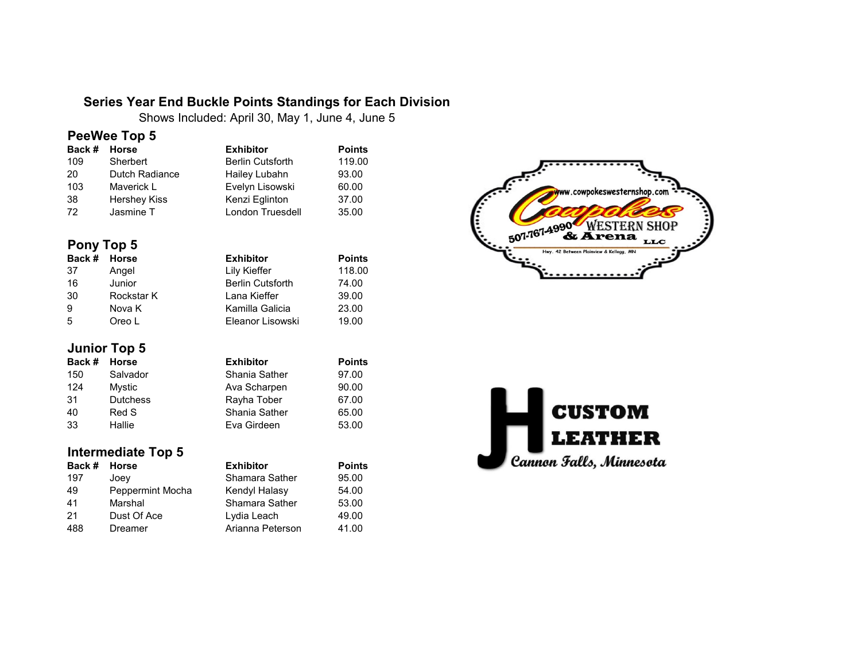#### **Series Year End Buckle Points Standings for Each Division**

Shows Included: April 30, May 1, June 4, June 5

#### **PeeWee Top 5**

| Back # | Horse          | <b>Exhibitor</b>        | <b>Points</b> |
|--------|----------------|-------------------------|---------------|
| 109    | Sherbert       | <b>Berlin Cutsforth</b> | 119.00        |
| 20     | Dutch Radiance | Hailey Lubahn           | 93.00         |
| 103    | Maverick L     | Evelyn Lisowski         | 60.00         |
| 38     | Hershey Kiss   | Kenzi Eglinton          | 37.00         |
| 72     | Jasmine T      | London Truesdell        | 35.00         |

#### **Pony Top 5**

| Back # Horse |            | <b>Exhibitor</b>        | <b>Points</b> |
|--------------|------------|-------------------------|---------------|
| -37          | Angel      | Lily Kieffer            | 118.00        |
| 16           | Junior     | <b>Berlin Cutsforth</b> | 74.00         |
| 30           | Rockstar K | Lana Kieffer            | 39.00         |
| 9            | Nova K     | Kamilla Galicia         | 23.00         |
| 5            | Oreo L     | Eleanor Lisowski        | 19.00         |

#### **Junior Top 5**

| Back # | Horse           | <b>Exhibitor</b> | <b>Points</b> |
|--------|-----------------|------------------|---------------|
| 150    | Salvador        | Shania Sather    | 97.00         |
| 124    | Mystic          | Ava Scharpen     | 90.00         |
| 31     | <b>Dutchess</b> | Rayha Tober      | 67.00         |
| 40     | Red S           | Shania Sather    | 65.00         |
| 33     | Hallie          | Eva Girdeen      | 53.00         |

### **Intermediate Top 5**

| Back # | <b>Horse</b>     | <b>Exhibitor</b> | <b>Points</b> |
|--------|------------------|------------------|---------------|
| 197    | Joey             | Shamara Sather   | 95.00         |
| 49     | Peppermint Mocha | Kendyl Halasy    | 54.00         |
| 41     | Marshal          | Shamara Sather   | 53.00         |
| 21     | Dust Of Ace      | Lydia Leach      | 49.00         |
| 488    | Dreamer          | Arianna Peterson | 41.00         |